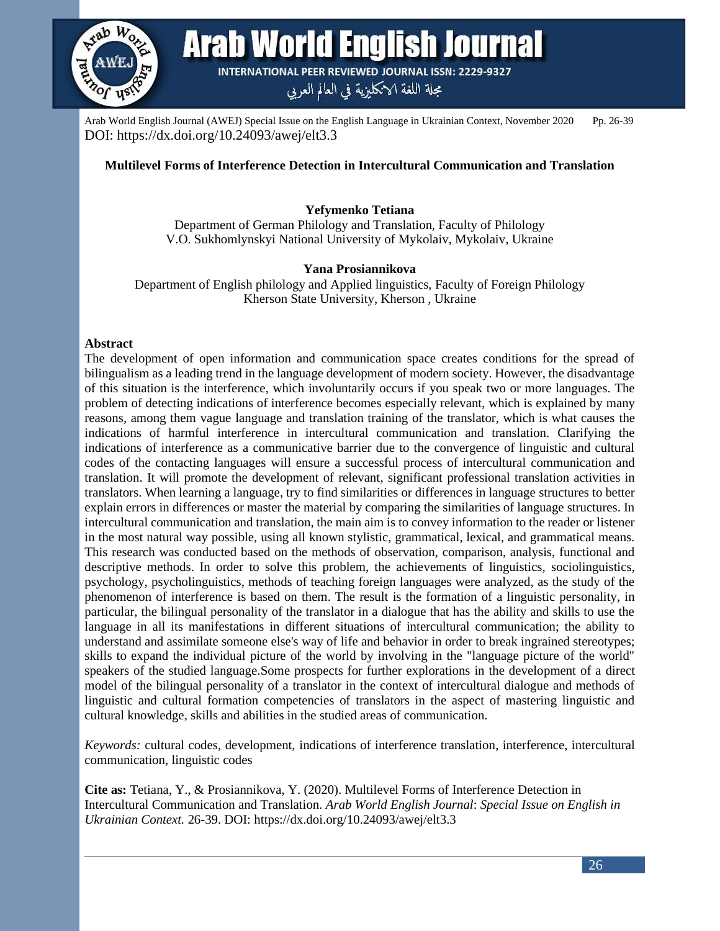

**Arab World English Journal INTERNATIONAL PEER REVIEWED JOURNAL ISSN: 2229-9327** 

مجلة اللغة الانكليزية في العالم العربي

Arab World English Journal (AWEJ) Special Issue on the English Language in Ukrainian Context, November 2020 Pp. 26-39 DOI: https://dx.doi.org/10.24093/awej/elt3.3

### **Multilevel Forms of Interference Detection in Intercultural Communication and Translation**

**Yefymenko Tetiana**

Department of German Philology and Translation, Faculty of Philology V.O. Sukhomlynskyi National University of Mykolaiv, Mykolaiv, Ukraine

#### **Yana Prosiannikova**

Department of English philology and Apрlied linguistics, Faculty of Foreign Philology Kherson State University, Kherson , Ukraine

#### **Abstract**

The development of open information and communication space creates conditions for the spread of bilingualism as a leading trend in the language development of modern society. However, the disadvantage of this situation is the interference, which involuntarily occurs if you speak two or more languages. The problem of detecting indications of interference becomes especially relevant, which is explained by many reasons, among them vague language and translation training of the translator, which is what causes the indications of harmful interference in intercultural communication and translation. Clarifying the indications of interference as a communicative barrier due to the convergence of linguistic and cultural codes of the contacting languages will ensure a successful process of intercultural communication and translation. It will promote the development of relevant, significant professional translation activities in translators. When learning a language, try to find similarities or differences in language structures to better explain errors in differences or master the material by comparing the similarities of language structures. In intercultural communication and translation, the main aim is to convey information to the reader or listener in the most natural way possible, using all known stylistic, grammatical, lexical, and grammatical means. This research was conducted based on the methods of observation, comparison, analysis, functional and descriptive methods. In order to solve this problem, the achievements of linguistics, sociolinguistics, psychology, psycholinguistics, methods of teaching foreign languages were analyzed, as the study of the phenomenon of interference is based on them. The result is the formation of a linguistic personality, in particular, the bilingual personality of the translator in a dialogue that has the ability and skills to use the language in all its manifestations in different situations of intercultural communication; the ability to understand and assimilate someone else's way of life and behavior in order to break ingrained stereotypes; skills to expand the individual picture of the world by involving in the "language picture of the world" speakers of the studied language.Some prospects for further explorations in the development of a direct model of the bilingual personality of a translator in the context of intercultural dialogue and methods of linguistic and cultural formation competencies of translators in the aspect of mastering linguistic and cultural knowledge, skills and abilities in the studied areas of communication.

*Keywords:* cultural codes, development, indications of interference translation, interference, intercultural communication, linguistic codes

**Cite as:** Tetiana, Y., & Prosiannikova, Y. (2020). Multilevel Forms of Interference Detection in Intercultural Communication and Translation. *Arab World English Journal*: *Special Issue on English in Ukrainian Context.* 26-39. DOI: https://dx.doi.org/10.24093/awej/elt3.3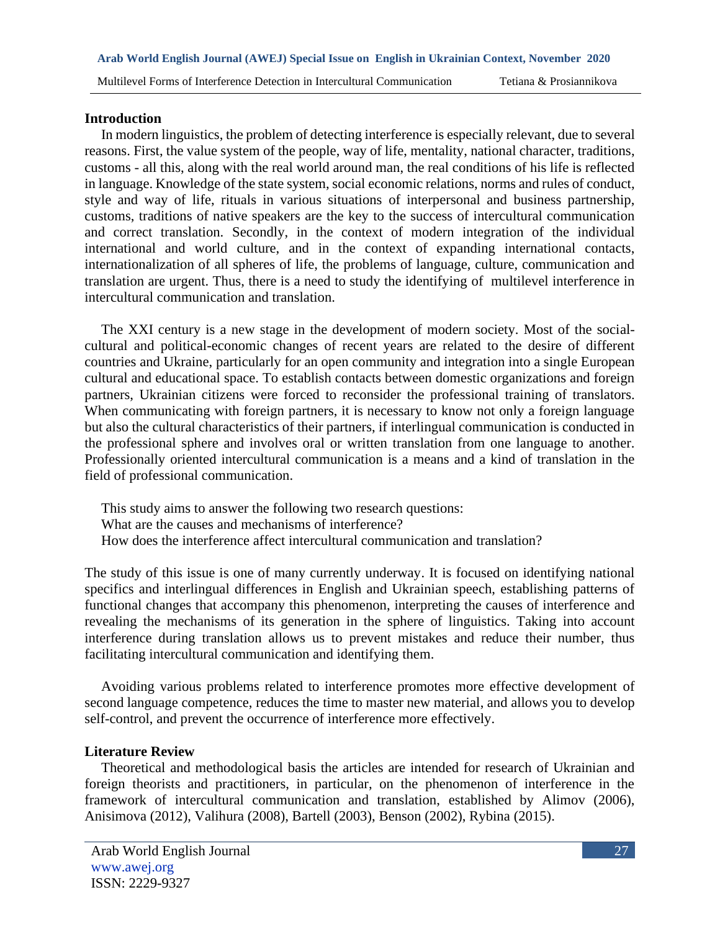# **Introduction**

In modern linguistics, the problem of detecting interference is especially relevant, due to several reasons. First, the value system of the people, way of life, mentality, national character, traditions, customs - all this, along with the real world around man, the real conditions of his life is reflected in language. Knowledge of the state system, social economic relations, norms and rules of conduct, style and way of life, rituals in various situations of interpersonal and business partnership, customs, traditions of native speakers are the key to the success of intercultural communication and correct translation. Secondly, in the context of modern integration of the individual international and world culture, and in the context of expanding international contacts, internationalization of all spheres of life, the problems of language, culture, communication and translation are urgent. Thus, there is a need to study the identifying of multilevel interference in intercultural communication and translation.

The XXI century is a new stage in the development of modern society. Most of the socialcultural and political-economic changes of recent years are related to the desire of different countries and Ukraine, particularly for an open community and integration into a single European cultural and educational space. To establish contacts between domestic organizations and foreign partners, Ukrainian citizens were forced to reconsider the professional training of translators. When communicating with foreign partners, it is necessary to know not only a foreign language but also the cultural characteristics of their partners, if interlingual communication is conducted in the professional sphere and involves oral or written translation from one language to another. Professionally oriented intercultural communication is a means and a kind of translation in the field of professional communication.

- This study aims to answer the following two research questions: What are the causes and mechanisms of interference?
- How does the interference affect intercultural communication and translation?

The study of this issue is one of many currently underway. It is focused on identifying national specifics and interlingual differences in English and Ukrainian speech, establishing patterns of functional changes that accompany this phenomenon, interpreting the causes of interference and revealing the mechanisms of its generation in the sphere of linguistics. Taking into account interference during translation allows us to prevent mistakes and reduce their number, thus facilitating intercultural communication and identifying them.

Avoiding various problems related to interference promotes more effective development of second language competence, reduces the time to master new material, and allows you to develop self-control, and prevent the occurrence of interference more effectively.

# **Literature Review**

Theoretical and methodological basis the articles are intended for research of Ukrainian and foreign theorists and practitioners, in particular, on the phenomenon of interference in the framework of intercultural communication and translation, established by Alimov (2006), Anisimova (2012), Valihura (2008), Bartell (2003), Benson (2002), Rybina (2015).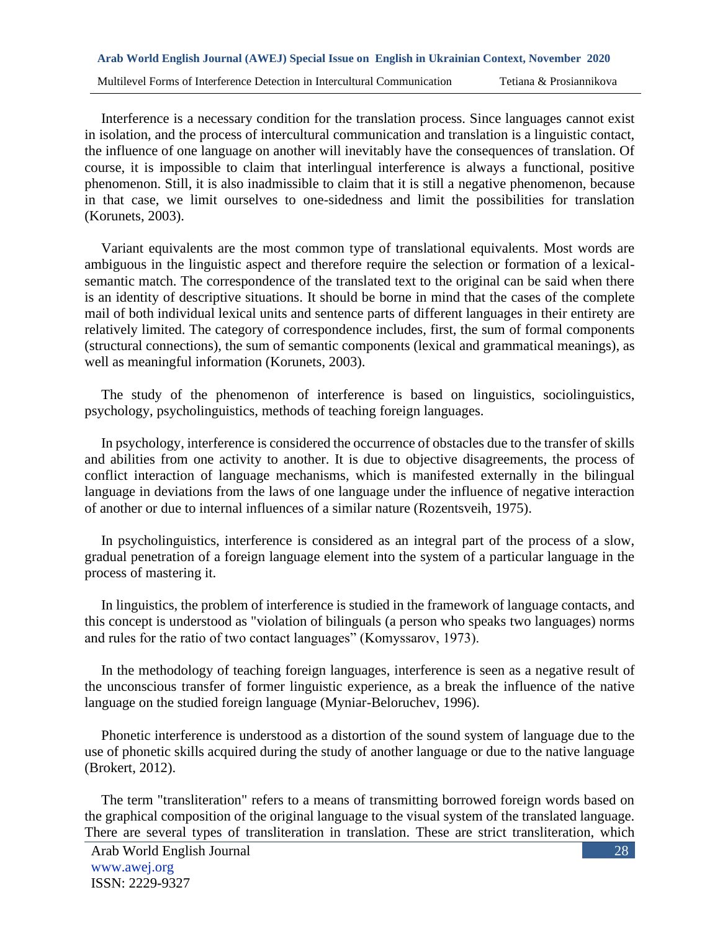Interference is a necessary condition for the translation process. Since languages cannot exist in isolation, and the process of intercultural communication and translation is a linguistic contact, the influence of one language on another will inevitably have the consequences of translation. Of course, it is impossible to claim that interlingual interference is always a functional, positive phenomenon. Still, it is also inadmissible to claim that it is still a negative phenomenon, because in that case, we limit ourselves to one-sidedness and limit the possibilities for translation (Korunets, 2003).

Variant equivalents are the most common type of translational equivalents. Most words are ambiguous in the linguistic aspect and therefore require the selection or formation of a lexicalsemantic match. The correspondence of the translated text to the original can be said when there is an identity of descriptive situations. It should be borne in mind that the cases of the complete mail of both individual lexical units and sentence parts of different languages in their entirety are relatively limited. The category of correspondence includes, first, the sum of formal components (structural connections), the sum of semantic components (lexical and grammatical meanings), as well as meaningful information (Korunets, 2003).

The study of the phenomenon of interference is based on linguistics, sociolinguistics, psychology, psycholinguistics, methods of teaching foreign languages.

In psychology, interference is considered the occurrence of obstacles due to the transfer of skills and abilities from one activity to another. It is due to objective disagreements, the process of conflict interaction of language mechanisms, which is manifested externally in the bilingual language in deviations from the laws of one language under the influence of negative interaction of another or due to internal influences of a similar nature (Rozentsveih, 1975).

In psycholinguistics, interference is considered as an integral part of the process of a slow, gradual penetration of a foreign language element into the system of a particular language in the process of mastering it.

In linguistics, the problem of interference is studied in the framework of language contacts, and this concept is understood as "violation of bilinguals (a person who speaks two languages) norms and rules for the ratio of two contact languages" (Komyssarov, 1973).

In the methodology of teaching foreign languages, interference is seen as a negative result of the unconscious transfer of former linguistic experience, as a break the influence of the native language on the studied foreign language (Myniar-Beloruchev, 1996).

Phonetic interference is understood as a distortion of the sound system of language due to the use of phonetic skills acquired during the study of another language or due to the native language (Brokert, 2012).

The term "transliteration" refers to a means of transmitting borrowed foreign words based on the graphical composition of the original language to the visual system of the translated language. There are several types of transliteration in translation. These are strict transliteration, which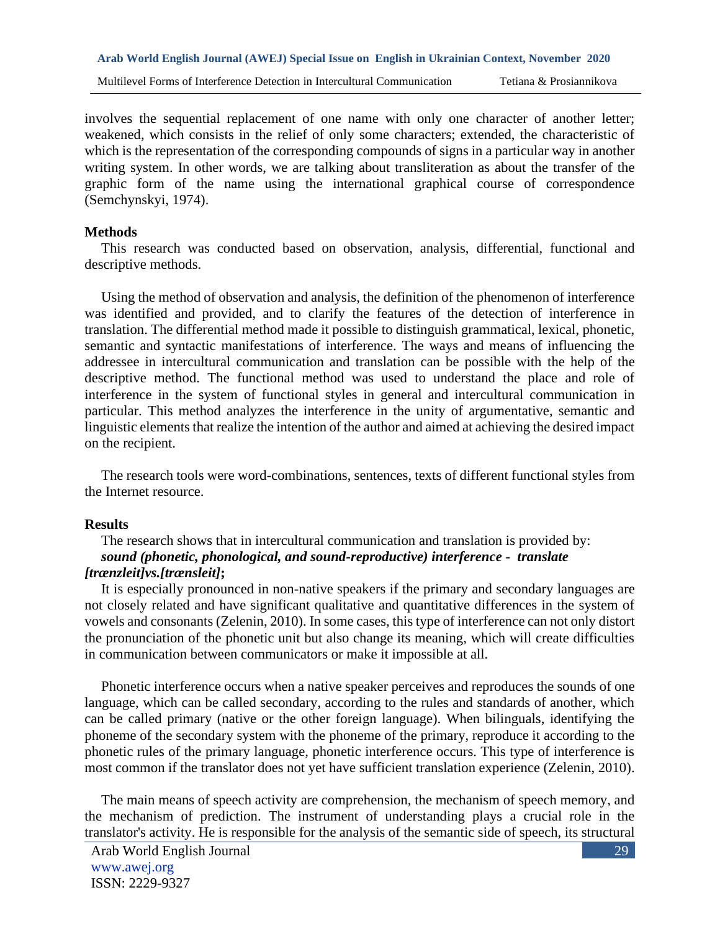involves the sequential replacement of one name with only one character of another letter; weakened, which consists in the relief of only some characters; extended, the characteristic of which is the representation of the corresponding compounds of signs in a particular way in another writing system. In other words, we are talking about transliteration as about the transfer of the graphic form of the name using the international graphical course of correspondence (Semchynskyi, 1974).

### **Methods**

This research was conducted based on observation, analysis, differential, functional and descriptive methods.

Using the method of observation and analysis, the definition of the phenomenon of interference was identified and provided, and to clarify the features of the detection of interference in translation. The differential method made it possible to distinguish grammatical, lexical, phonetic, semantic and syntactic manifestations of interference. The ways and means of influencing the addressee in intercultural communication and translation can be possible with the help of the descriptive method. The functional method was used to understand the place and role of interference in the system of functional styles in general and intercultural communication in particular. This method analyzes the interference in the unity of argumentative, semantic and linguistic elements that realize the intention of the author and aimed at achieving the desired impact on the recipient.

The research tools were word-combinations, sentences, texts of different functional styles from the Internet resource.

### **Results**

### The research shows that in intercultural communication and translation is provided by: *sound (phonetic, phonological, and sound-reproductive) interference* **-** *translate [trænzleit]vs.[trænsleit]***;**

It is especially pronounced in non-native speakers if the primary and secondary languages are not closely related and have significant qualitative and quantitative differences in the system of vowels and consonants (Zelenin, 2010). In some cases, this type of interference can not only distort the pronunciation of the phonetic unit but also change its meaning, which will create difficulties in communication between communicators or make it impossible at all.

Phonetic interference occurs when a native speaker perceives and reproduces the sounds of one language, which can be called secondary, according to the rules and standards of another, which can be called primary (native or the other foreign language). When bilinguals, identifying the phoneme of the secondary system with the phoneme of the primary, reproduce it according to the phonetic rules of the primary language, phonetic interference occurs. This type of interference is most common if the translator does not yet have sufficient translation experience (Zelenin, 2010).

The main means of speech activity are comprehension, the mechanism of speech memory, and the mechanism of prediction. The instrument of understanding plays a crucial role in the translator's activity. He is responsible for the analysis of the semantic side of speech, its structural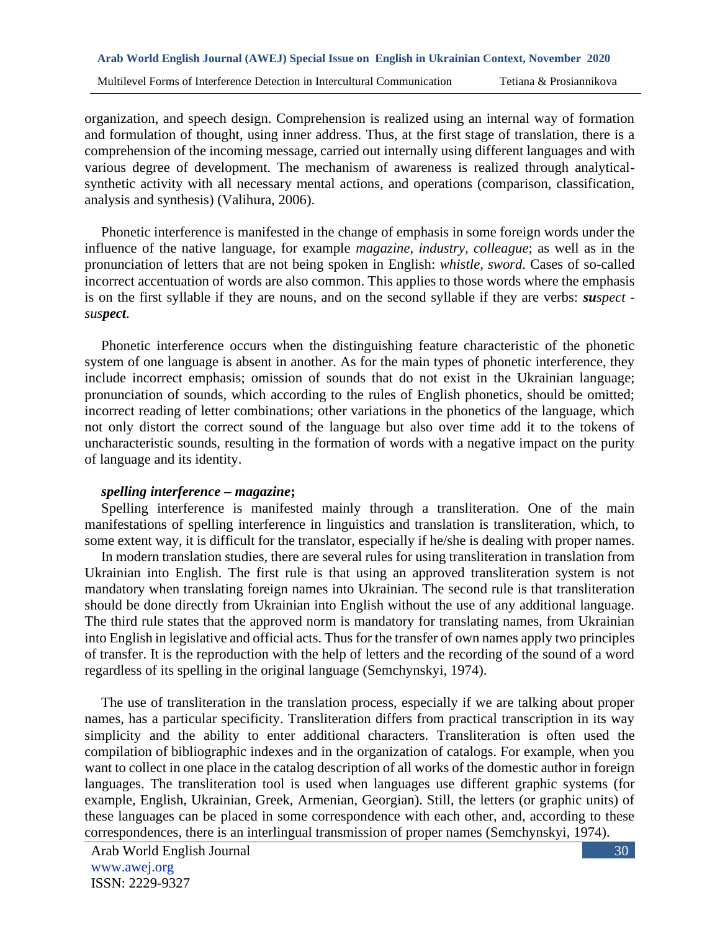organization, and speech design. Comprehension is realized using an internal way of formation and formulation of thought, using inner address. Thus, at the first stage of translation, there is a comprehension of the incoming message, carried out internally using different languages and with various degree of development. The mechanism of awareness is realized through analyticalsynthetic activity with all necessary mental actions, and operations (comparison, classification, analysis and synthesis) (Valihura, 2006).

Phonetic interference is manifested in the change of emphasis in some foreign words under the influence of the native language, for example *magazine, industry, colleague*; as well as in the pronunciation of letters that are not being spoken in English: *whistle, sword*. Cases of so-called incorrect accentuation of words are also common. This applies to those words where the emphasis is on the first syllable if they are nouns, and on the second syllable if they are verbs: *suspect suspect*.

Phonetic interference occurs when the distinguishing feature characteristic of the phonetic system of one language is absent in another. As for the main types of phonetic interference, they include incorrect emphasis; omission of sounds that do not exist in the Ukrainian language; pronunciation of sounds, which according to the rules of English phonetics, should be omitted; incorrect reading of letter combinations; other variations in the phonetics of the language, which not only distort the correct sound of the language but also over time add it to the tokens of uncharacteristic sounds, resulting in the formation of words with a negative impact on the purity of language and its identity.

### *spelling interference – magazine***;**

Spelling interference is manifested mainly through a transliteration. One of the main manifestations of spelling interference in linguistics and translation is transliteration, which, to some extent way, it is difficult for the translator, especially if he/she is dealing with proper names.

In modern translation studies, there are several rules for using transliteration in translation from Ukrainian into English. The first rule is that using an approved transliteration system is not mandatory when translating foreign names into Ukrainian. The second rule is that transliteration should be done directly from Ukrainian into English without the use of any additional language. The third rule states that the approved norm is mandatory for translating names, from Ukrainian into English in legislative and official acts. Thus for the transfer of own names apply two principles of transfer. It is the reproduction with the help of letters and the recording of the sound of a word regardless of its spelling in the original language (Semchynskyi, 1974).

The use of transliteration in the translation process, especially if we are talking about proper names, has a particular specificity. Transliteration differs from practical transcription in its way simplicity and the ability to enter additional characters. Transliteration is often used the compilation of bibliographic indexes and in the organization of catalogs. For example, when you want to collect in one place in the catalog description of all works of the domestic author in foreign languages. The transliteration tool is used when languages use different graphic systems (for example, English, Ukrainian, Greek, Armenian, Georgian). Still, the letters (or graphic units) of these languages can be placed in some correspondence with each other, and, according to these correspondences, there is an interlingual transmission of proper names (Semchynskyi, 1974).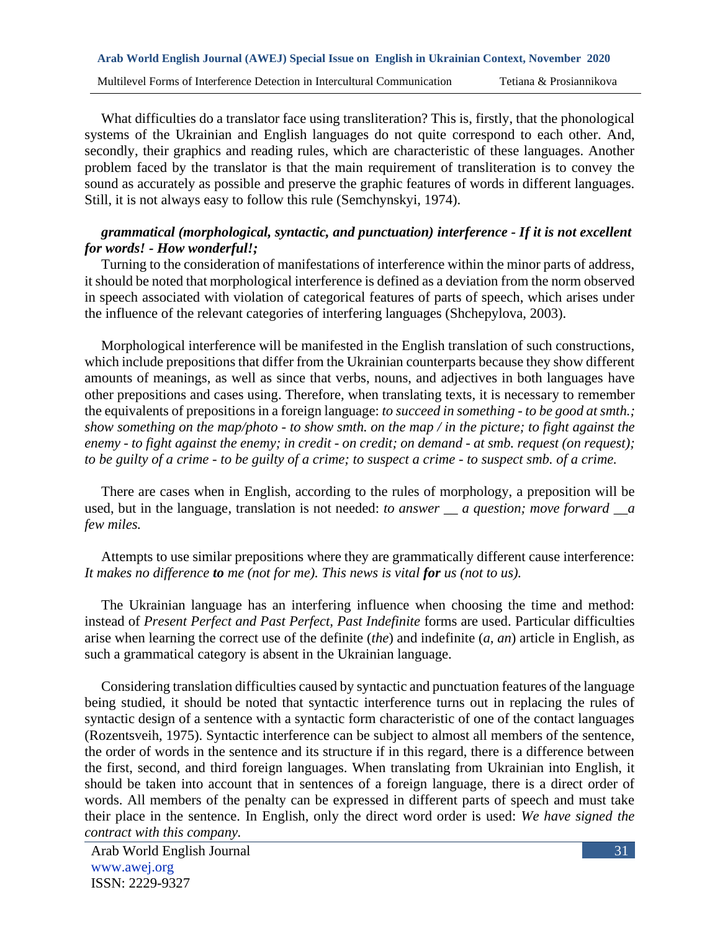What difficulties do a translator face using transliteration? This is, firstly, that the phonological systems of the Ukrainian and English languages do not quite correspond to each other. And, secondly, their graphics and reading rules, which are characteristic of these languages. Another problem faced by the translator is that the main requirement of transliteration is to convey the sound as accurately as possible and preserve the graphic features of words in different languages. Still, it is not always easy to follow this rule (Semchynskyi, 1974).

## *grammatical (morphological, syntactic, and punctuation) interference - If it is not excellent for words! - How wonderful!;*

Turning to the consideration of manifestations of interference within the minor parts of address, it should be noted that morphological interference is defined as a deviation from the norm observed in speech associated with violation of categorical features of parts of speech, which arises under the influence of the relevant categories of interfering languages (Shchepylova, 2003).

Morphological interference will be manifested in the English translation of such constructions, which include prepositions that differ from the Ukrainian counterparts because they show different amounts of meanings, as well as since that verbs, nouns, and adjectives in both languages have other prepositions and cases using. Therefore, when translating texts, it is necessary to remember the equivalents of prepositions in a foreign language: *to succeed in something - to be good at smth.; show something on the map/photo - to show smth. on the map / in the picture; to fight against the enemy - to fight against the enemy; in credit - on credit; on demand - at smb. request (on request); to be guilty of a crime - to be guilty of a crime; to suspect a crime - to suspect smb. of a crime.*

There are cases when in English, according to the rules of morphology, a preposition will be used, but in the language, translation is not needed: *to answer \_\_ a question; move forward \_\_a few miles.*

Attempts to use similar prepositions where they are grammatically different cause interference: *It makes no difference to me (not for me). This news is vital for us (not to us).*

The Ukrainian language has an interfering influence when choosing the time and method: instead of *Present Perfect and Past Perfect, Past Indefinite* forms are used. Particular difficulties arise when learning the correct use of the definite (*the*) and indefinite (*a, an*) article in English, as such a grammatical category is absent in the Ukrainian language.

Considering translation difficulties caused by syntactic and punctuation features of the language being studied, it should be noted that syntactic interference turns out in replacing the rules of syntactic design of a sentence with a syntactic form characteristic of one of the contact languages (Rozentsveih, 1975). Syntactic interference can be subject to almost all members of the sentence, the order of words in the sentence and its structure if in this regard, there is a difference between the first, second, and third foreign languages. When translating from Ukrainian into English, it should be taken into account that in sentences of a foreign language, there is a direct order of words. All members of the penalty can be expressed in different parts of speech and must take their place in the sentence. In English, only the direct word order is used: *We have signed the contract with this company.*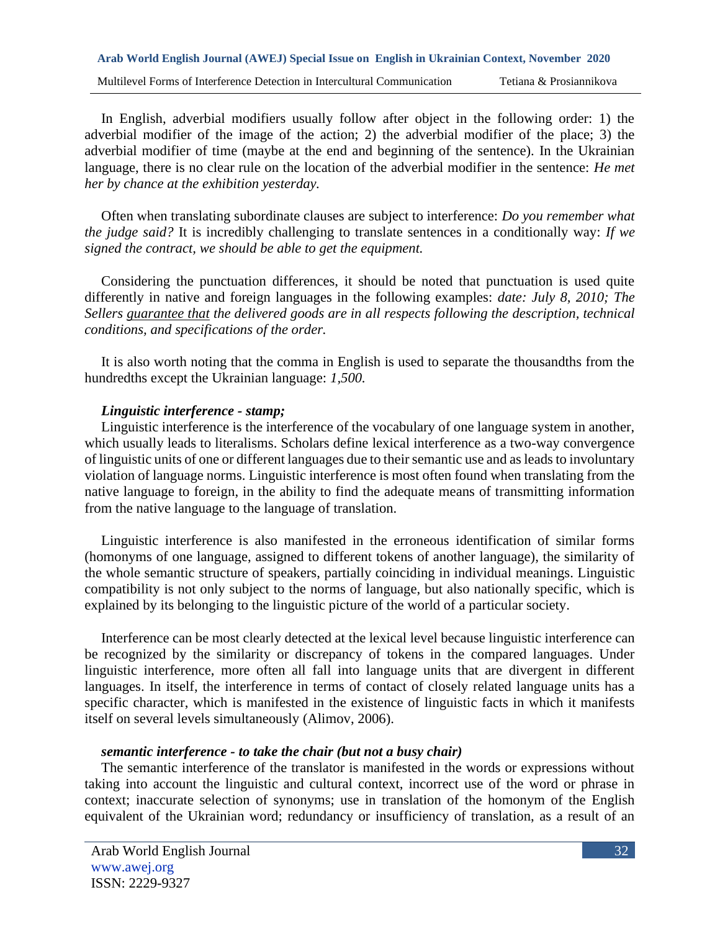In English, adverbial modifiers usually follow after object in the following order: 1) the adverbial modifier of the image of the action; 2) the adverbial modifier of the place; 3) the adverbial modifier of time (maybe at the end and beginning of the sentence). In the Ukrainian language, there is no clear rule on the location of the adverbial modifier in the sentence: *He met her by chance at the exhibition yesterday.*

Often when translating subordinate clauses are subject to interference: *Do you remember what the judge said?* It is incredibly challenging to translate sentences in a conditionally way: *If we signed the contract, we should be able to get the equipment.*

Considering the punctuation differences, it should be noted that punctuation is used quite differently in native and foreign languages in the following examples: *date: July 8, 2010; The Sellers guarantee that the delivered goods are in all respects following the description, technical conditions, and specifications of the order.*

It is also worth noting that the comma in English is used to separate the thousandths from the hundredths except the Ukrainian language: *1,500.*

# *Linguistic interference - stamp;*

Linguistic interference is the interference of the vocabulary of one language system in another, which usually leads to literalisms. Scholars define lexical interference as a two-way convergence of linguistic units of one or different languages due to their semantic use and as leads to involuntary violation of language norms. Linguistic interference is most often found when translating from the native language to foreign, in the ability to find the adequate means of transmitting information from the native language to the language of translation.

Linguistic interference is also manifested in the erroneous identification of similar forms (homonyms of one language, assigned to different tokens of another language), the similarity of the whole semantic structure of speakers, partially coinciding in individual meanings. Linguistic compatibility is not only subject to the norms of language, but also nationally specific, which is explained by its belonging to the linguistic picture of the world of a particular society.

Interference can be most clearly detected at the lexical level because linguistic interference can be recognized by the similarity or discrepancy of tokens in the compared languages. Under linguistic interference, more often all fall into language units that are divergent in different languages. In itself, the interference in terms of contact of closely related language units has a specific character, which is manifested in the existence of linguistic facts in which it manifests itself on several levels simultaneously (Alimov, 2006).

# *semantic interference - to take the chair (but not a busy chair)*

The semantic interference of the translator is manifested in the words or expressions without taking into account the linguistic and cultural context, incorrect use of the word or phrase in context; inaccurate selection of synonyms; use in translation of the homonym of the English equivalent of the Ukrainian word; redundancy or insufficiency of translation, as a result of an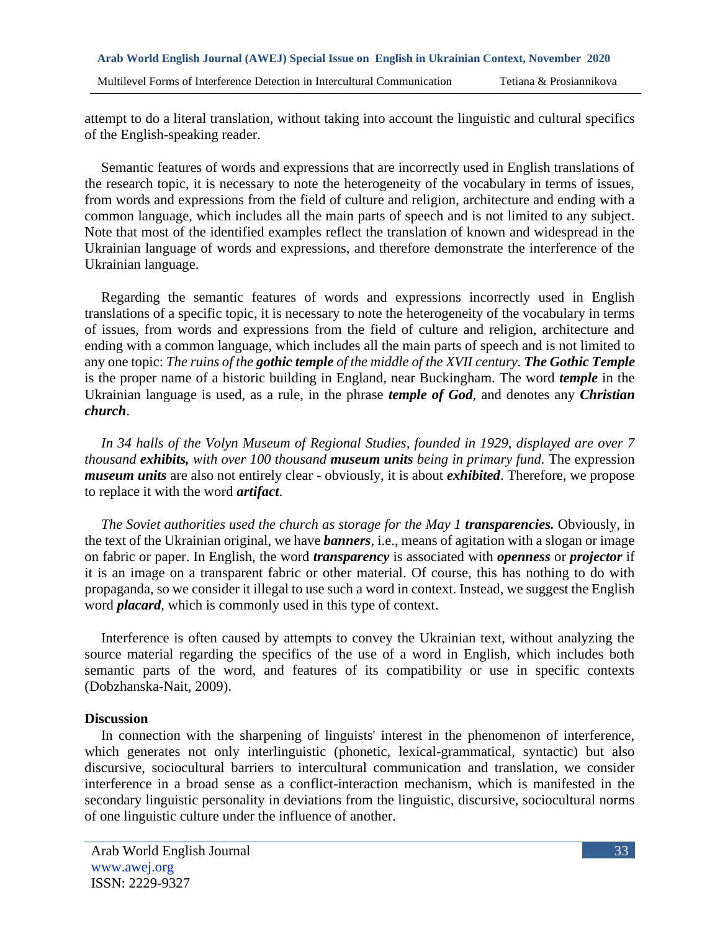attempt to do a literal translation, without taking into account the linguistic and cultural specifics of the English-speaking reader.

Semantic features of words and expressions that are incorrectly used in English translations of the research topic, it is necessary to note the heterogeneity of the vocabulary in terms of issues, from words and expressions from the field of culture and religion, architecture and ending with a common language, which includes all the main parts of speech and is not limited to any subject. Note that most of the identified examples reflect the translation of known and widespread in the Ukrainian language of words and expressions, and therefore demonstrate the interference of the Ukrainian language.

Regarding the semantic features of words and expressions incorrectly used in English translations of a specific topic, it is necessary to note the heterogeneity of the vocabulary in terms of issues, from words and expressions from the field of culture and religion, architecture and ending with a common language, which includes all the main parts of speech and is not limited to any one topic: *The ruins of the gothic temple of the middle of the XVII century. The Gothic Temple* is the proper name of a historic building in England, near Buckingham. The word *temple* in the Ukrainian language is used, as a rule, in the phrase *temple of God*, and denotes any *Christian church*.

*In 34 halls of the Volyn Museum of Regional Studies, founded in 1929, displayed are over 7 thousand exhibits, with over 100 thousand museum units being in primary fund.* The expression *museum units* are also not entirely clear - obviously, it is about *exhibited*. Therefore, we propose to replace it with the word *artifact*.

*The Soviet authorities used the church as storage for the May 1 transparencies.* Obviously, in the text of the Ukrainian original, we have *banners*, i.e., means of agitation with a slogan or image on fabric or paper. In English, the word *transparency* is associated with *openness* or *projector* if it is an image on a transparent fabric or other material. Of course, this has nothing to do with propaganda, so we consider it illegal to use such a word in context. Instead, we suggest the English word *placard*, which is commonly used in this type of context.

Interference is often caused by attempts to convey the Ukrainian text, without analyzing the source material regarding the specifics of the use of a word in English, which includes both semantic parts of the word, and features of its compatibility or use in specific contexts (Dobzhanska-Nait, 2009).

### **Discussion**

In connection with the sharpening of linguists' interest in the phenomenon of interference, which generates not only interlinguistic (phonetic, lexical-grammatical, syntactic) but also discursive, sociocultural barriers to intercultural communication and translation, we consider interference in a broad sense as a conflict-interaction mechanism, which is manifested in the secondary linguistic personality in deviations from the linguistic, discursive, sociocultural norms of one linguistic culture under the influence of another.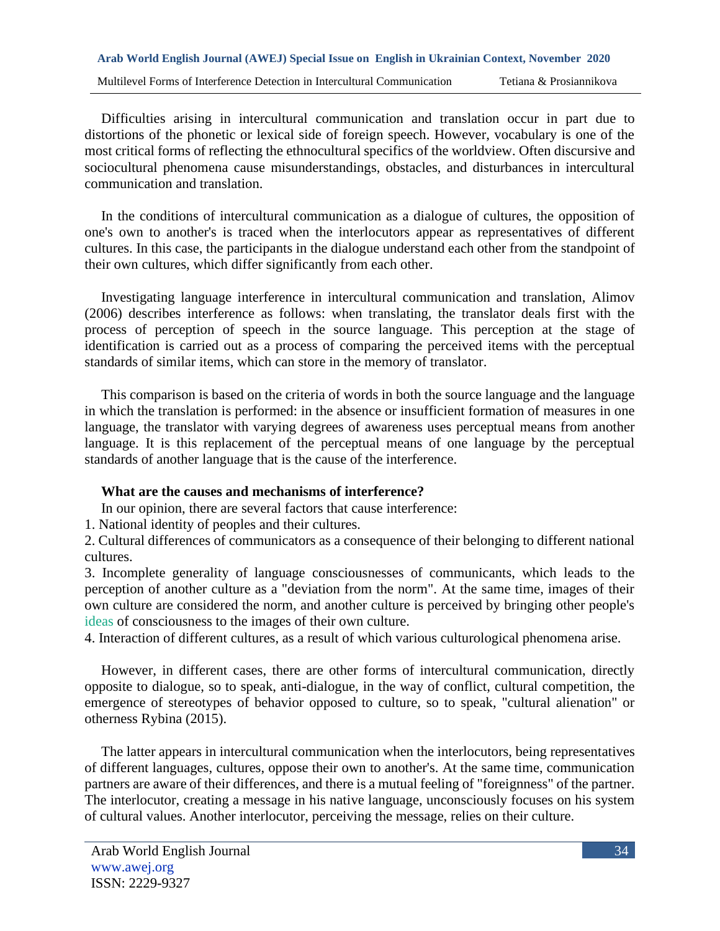Difficulties arising in intercultural communication and translation occur in part due to distortions of the phonetic or lexical side of foreign speech. However, vocabulary is one of the most critical forms of reflecting the ethnocultural specifics of the worldview. Often discursive and sociocultural phenomena cause misunderstandings, obstacles, and disturbances in intercultural communication and translation.

In the conditions of intercultural communication as a dialogue of cultures, the opposition of one's own to another's is traced when the interlocutors appear as representatives of different cultures. In this case, the participants in the dialogue understand each other from the standpoint of their own cultures, which differ significantly from each other.

Investigating language interference in intercultural communication and translation, Alimov (2006) describes interference as follows: when translating, the translator deals first with the process of perception of speech in the source language. This perception at the stage of identification is carried out as a process of comparing the perceived items with the perceptual standards of similar items, which can store in the memory of translator.

This comparison is based on the criteria of words in both the source language and the language in which the translation is performed: in the absence or insufficient formation of measures in one language, the translator with varying degrees of awareness uses perceptual means from another language. It is this replacement of the perceptual means of one language by the perceptual standards of another language that is the cause of the interference.

# **What are the causes and mechanisms of interference?**

In our opinion, there are several factors that cause interference:

1. National identity of peoples and their cultures.

2. Cultural differences of communicators as a consequence of their belonging to different national cultures.

3. Incomplete generality of language consciousnesses of communicants, which leads to the perception of another culture as a "deviation from the norm". At the same time, images of their own culture are considered the norm, and another culture is perceived by bringing other people's ideas of consciousness to the images of their own culture.

4. Interaction of different cultures, as a result of which various culturological phenomena arise.

However, in different cases, there are other forms of intercultural communication, directly opposite to dialogue, so to speak, anti-dialogue, in the way of conflict, cultural competition, the emergence of stereotypes of behavior opposed to culture, so to speak, "cultural alienation" or otherness Rybina (2015).

The latter appears in intercultural communication when the interlocutors, being representatives of different languages, cultures, oppose their own to another's. At the same time, communication partners are aware of their differences, and there is a mutual feeling of "foreignness" of the partner. The interlocutor, creating a message in his native language, unconsciously focuses on his system of cultural values. Another interlocutor, perceiving the message, relies on their culture.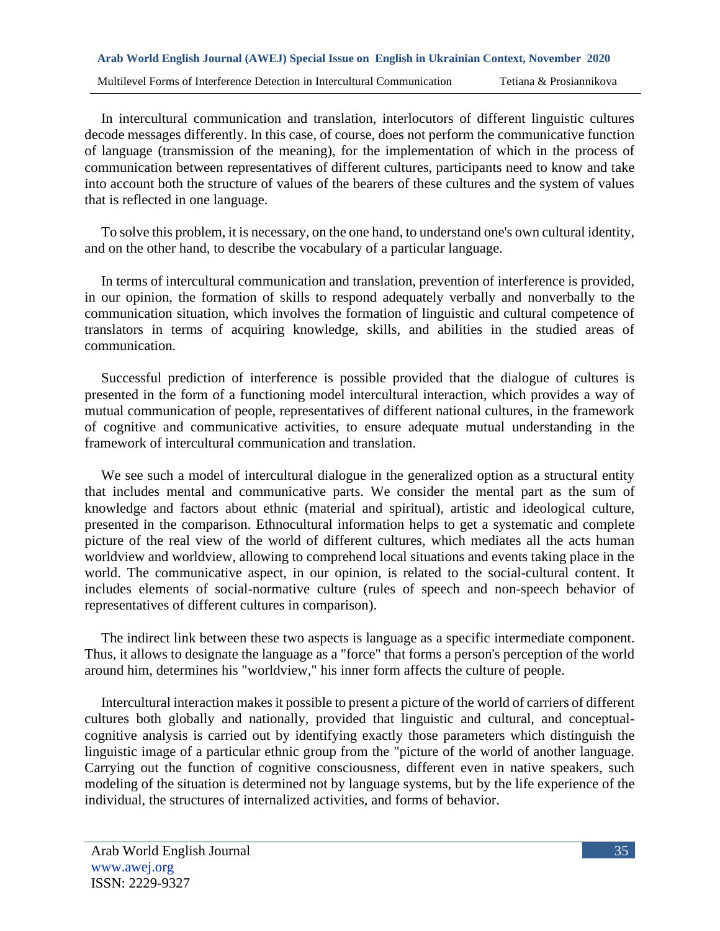In intercultural communication and translation, interlocutors of different linguistic cultures decode messages differently. In this case, of course, does not perform the communicative function of language (transmission of the meaning), for the implementation of which in the process of communication between representatives of different cultures, participants need to know and take into account both the structure of values of the bearers of these cultures and the system of values that is reflected in one language.

To solve this problem, it is necessary, on the one hand, to understand one's own cultural identity, and on the other hand, to describe the vocabulary of a particular language.

In terms of intercultural communication and translation, prevention of interference is provided, in our opinion, the formation of skills to respond adequately verbally and nonverbally to the communication situation, which involves the formation of linguistic and cultural competence of translators in terms of acquiring knowledge, skills, and abilities in the studied areas of communication.

Successful prediction of interference is possible provided that the dialogue of cultures is presented in the form of a functioning model intercultural interaction, which provides a way of mutual communication of people, representatives of different national cultures, in the framework of cognitive and communicative activities, to ensure adequate mutual understanding in the framework of intercultural communication and translation.

We see such a model of intercultural dialogue in the generalized option as a structural entity that includes mental and communicative parts. We consider the mental part as the sum of knowledge and factors about ethnic (material and spiritual), artistic and ideological culture, presented in the comparison. Ethnocultural information helps to get a systematic and complete picture of the real view of the world of different cultures, which mediates all the acts human worldview and worldview, allowing to comprehend local situations and events taking place in the world. The communicative aspect, in our opinion, is related to the social-cultural content. It includes elements of social-normative culture (rules of speech and non-speech behavior of representatives of different cultures in comparison).

The indirect link between these two aspects is language as a specific intermediate component. Thus, it allows to designate the language as a "force" that forms a person's perception of the world around him, determines his "worldview," his inner form affects the culture of people.

Intercultural interaction makes it possible to present a picture of the world of carriers of different cultures both globally and nationally, provided that linguistic and cultural, and conceptualcognitive analysis is carried out by identifying exactly those parameters which distinguish the linguistic image of a particular ethnic group from the "picture of the world of another language. Carrying out the function of cognitive consciousness, different even in native speakers, such modeling of the situation is determined not by language systems, but by the life experience of the individual, the structures of internalized activities, and forms of behavior.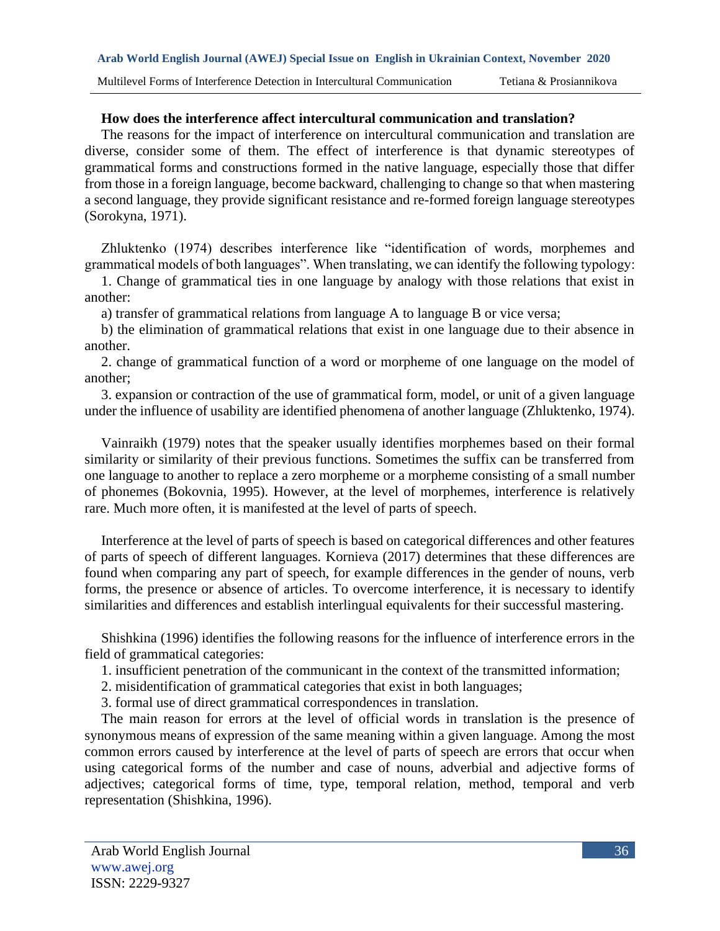### **How does the interference affect intercultural communication and translation?**

The reasons for the impact of interference on intercultural communication and translation are diverse, consider some of them. The effect of interference is that dynamic stereotypes of grammatical forms and constructions formed in the native language, especially those that differ from those in a foreign language, become backward, challenging to change so that when mastering a second language, they provide significant resistance and re-formed foreign language stereotypes (Sorokyna, 1971).

Zhluktenko (1974) describes interference like "identification of words, morphemes and grammatical models of both languages". When translating, we can identify the following typology:

1. Change of grammatical ties in one language by analogy with those relations that exist in another:

a) transfer of grammatical relations from language A to language B or vice versa;

b) the elimination of grammatical relations that exist in one language due to their absence in another.

2. change of grammatical function of a word or morpheme of one language on the model of another;

3. expansion or contraction of the use of grammatical form, model, or unit of a given language under the influence of usability are identified phenomena of another language (Zhluktenko, 1974).

Vainraikh (1979) notes that the speaker usually identifies morphemes based on their formal similarity or similarity of their previous functions. Sometimes the suffix can be transferred from one language to another to replace a zero morpheme or a morpheme consisting of a small number of phonemes (Bokovnia, 1995). However, at the level of morphemes, interference is relatively rare. Much more often, it is manifested at the level of parts of speech.

Interference at the level of parts of speech is based on categorical differences and other features of parts of speech of different languages. Kornieva (2017) determines that these differences are found when comparing any part of speech, for example differences in the gender of nouns, verb forms, the presence or absence of articles. To overcome interference, it is necessary to identify similarities and differences and establish interlingual equivalents for their successful mastering.

Shishkina (1996) identifies the following reasons for the influence of interference errors in the field of grammatical categories:

1. insufficient penetration of the communicant in the context of the transmitted information;

- 2. misidentification of grammatical categories that exist in both languages;
- 3. formal use of direct grammatical correspondences in translation.

The main reason for errors at the level of official words in translation is the presence of synonymous means of expression of the same meaning within a given language. Among the most common errors caused by interference at the level of parts of speech are errors that occur when using categorical forms of the number and case of nouns, adverbial and adjective forms of adjectives; categorical forms of time, type, temporal relation, method, temporal and verb representation (Shishkina, 1996).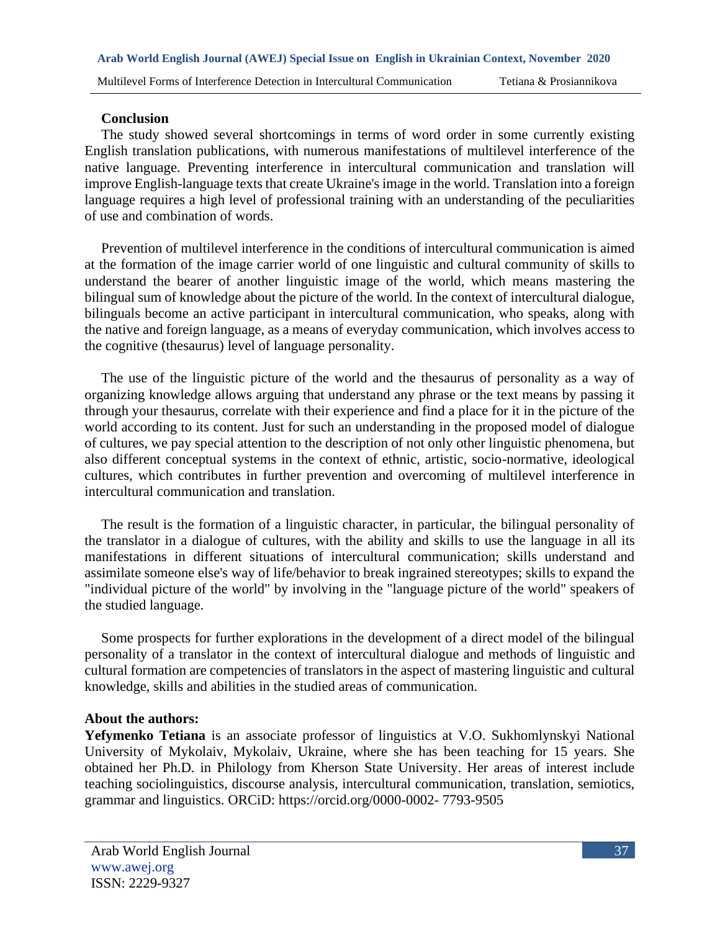# **Conclusion**

The study showed several shortcomings in terms of word order in some currently existing English translation publications, with numerous manifestations of multilevel interference of the native language. Preventing interference in intercultural communication and translation will improve English-language texts that create Ukraine's image in the world. Translation into a foreign language requires a high level of professional training with an understanding of the peculiarities of use and combination of words.

Prevention of multilevel interference in the conditions of intercultural communication is aimed at the formation of the image carrier world of one linguistic and cultural community of skills to understand the bearer of another linguistic image of the world, which means mastering the bilingual sum of knowledge about the picture of the world. In the context of intercultural dialogue, bilinguals become an active participant in intercultural communication, who speaks, along with the native and foreign language, as a means of everyday communication, which involves access to the cognitive (thesaurus) level of language personality.

The use of the linguistic picture of the world and the thesaurus of personality as a way of organizing knowledge allows arguing that understand any phrase or the text means by passing it through your thesaurus, correlate with their experience and find a place for it in the picture of the world according to its content. Just for such an understanding in the proposed model of dialogue of cultures, we pay special attention to the description of not only other linguistic phenomena, but also different conceptual systems in the context of ethnic, artistic, socio-normative, ideological cultures, which contributes in further prevention and overcoming of multilevel interference in intercultural communication and translation.

The result is the formation of a linguistic character, in particular, the bilingual personality of the translator in a dialogue of cultures, with the ability and skills to use the language in all its manifestations in different situations of intercultural communication; skills understand and assimilate someone else's way of life/behavior to break ingrained stereotypes; skills to expand the "individual picture of the world" by involving in the "language picture of the world" speakers of the studied language.

Some prospects for further explorations in the development of a direct model of the bilingual personality of a translator in the context of intercultural dialogue and methods of linguistic and cultural formation are competencies of translators in the aspect of mastering linguistic and cultural knowledge, skills and abilities in the studied areas of communication.

# **About the authors:**

**Yefymenko Tetiana** is an associate professor of linguistics at V.O. Sukhomlynskyi National University of Mykolaiv, Mykolaiv, Ukraine, where she has been teaching for 15 years. She obtained her Ph.D. in Philology from Kherson State University. Her areas of interest include teaching sociolinguistics, discourse analysis, intercultural communication, translation, semiotics, grammar and linguistics. ORCiD: https://orcid.org/0000-0002- 7793-9505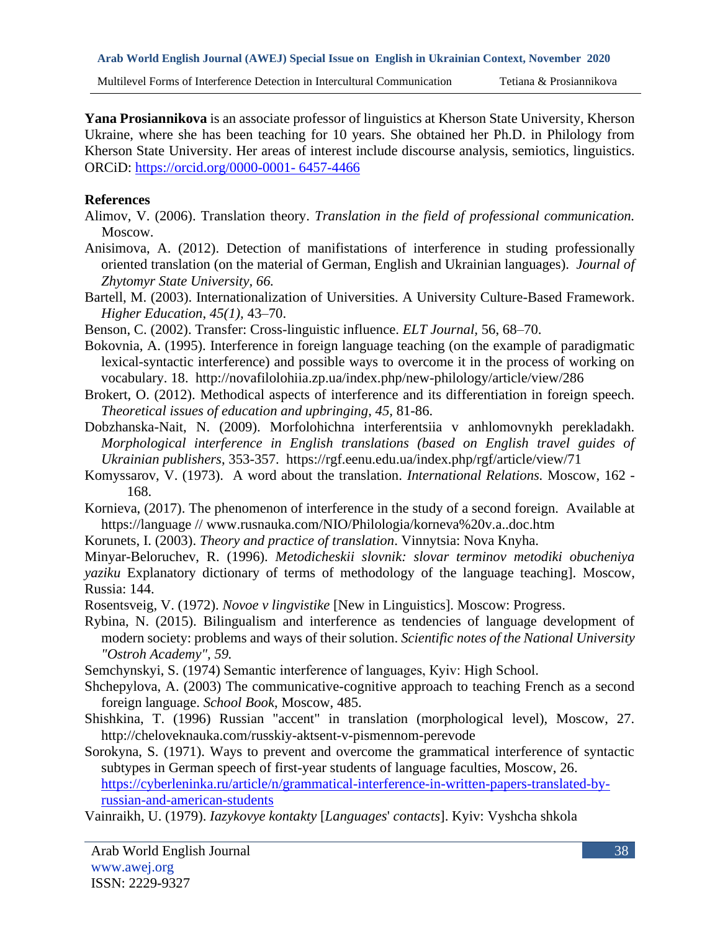**Yana Prosiannikova** is an associate professor of linguistics at Kherson State University, Kherson Ukraine, where she has been teaching for 10 years. She obtained her Ph.D. in Philology from Kherson State University. Her areas of interest include discourse analysis, semiotics, linguistics. ORCiD: [https://orcid.org/0000-0001-](https://orcid.org/0000-0001-%206457-4466) 6457-4466

# **References**

- Alimov, V. (2006). Translation theory. *Translation in the field of professional communication.*  Moscow.
- Anisimova, A. (2012). Detection of manifistations of interference in studing professionally oriented translation (on the material of German, English and Ukrainian languages). *Journal of Zhytomyr State University, 66.*
- Bartell, M. (2003). Internationalization of Universities. A University Culture-Based Framework. *Higher Education*, *45(1),* 43–70.
- Benson, C. (2002). Transfer: Cross-linguistic influence. *ELT Journal,* 56, 68–70.
- Bokovnia, A. (1995). Interference in foreign language teaching (on the example of paradigmatic lexical-syntactic interference) and possible ways to overcome it in the process of working on vocabulary. 18. http://novafilolohiia.zp.ua/index.php/new-philology/article/view/286
- Brokert, O. (2012). Methodical aspects of interference and its differentiation in foreign speech. *Theoretical issues of education and upbringing*, *45,* 81-86.
- Dobzhanska-Nait, N. (2009). Morfolohichna interferentsiia v anhlomovnykh perekladakh. *Morphological interference in English translations (based on English travel guides of Ukrainian publishers*, 353-357. https://rgf.eenu.edu.ua/index.php/rgf/article/view/71
- Komyssarov, V. (1973). A word about the translation. *International Relations.* Moscow, 162 168.
- Kornieva, (2017). The phenomenon of interference in the study of a second foreign. Available at https://language // www.rusnauka.com/NIO/Philologia/korneva%20v.a..doc.htm
- Korunets, I. (2003). *Theory and practice of translation*. Vinnytsia: Nova Knyha.

Minyar-Beloruchev, R. (1996). *Metodicheskii slovnik: slovar terminov metodiki obucheniya yaziku* Explanatory dictionary of terms of methodology of the language teaching]. Мoscow, Russia: 144.

- Rosentsveig, V. (1972). *Novoe v lingvistike* [New in Linguistics]. Moscow: Progress.
- Rybina, N. (2015). Bilingualism and interference as tendencies of language development of modern society: problems and ways of their solution. *Scientific notes of the National University "Ostroh Academy", 59.*
- Semchynskyi, S. (1974) Semantic interference of languages, Кyiv: High School.
- Shchepylova, A. (2003) The communicative-cognitive approach to teaching French as a second foreign language. *School Book*, Moscow, 485.
- Shishkina, T. (1996) Russian "accent" in translation (morphological level), Moscow, 27. http://cheloveknauka.com/russkiy-aktsent-v-pismennom-perevode
- Sorokyna, S. (1971). Ways to prevent and overcome the grammatical interference of syntactic subtypes in German speech of first-year students of language faculties, Moscow, 26. [https://cyberleninka.ru/article/n/grammatical-interference-in-written-papers-translated-by](https://cyberleninka.ru/article/n/grammatical-interference-in-written-papers-translated-by-russian-and-american-students)[russian-and-american-students](https://cyberleninka.ru/article/n/grammatical-interference-in-written-papers-translated-by-russian-and-american-students)

Vainraikh, U. (1979). *Iazykovye kontakty* [*Languages*' *contacts*]. Kyiv: Vyshcha shkola